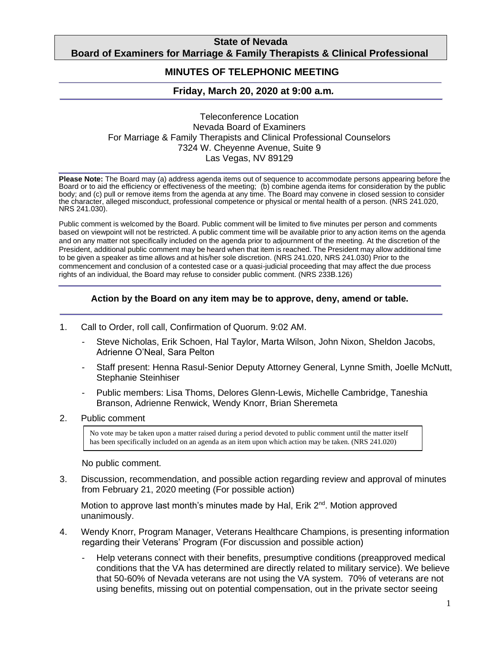# **State of Nevada Board of Examiners for Marriage & Family Therapists & Clinical Professional**

#### **Counselors MINUTES OF TELEPHONIC MEETING**

# **Friday, March 20, 2020 at 9:00 a.m***.*

### Teleconference Location Nevada Board of Examiners For Marriage & Family Therapists and Clinical Professional Counselors 7324 W. Cheyenne Avenue, Suite 9 Las Vegas, NV 89129

**Please Note:** The Board may (a) address agenda items out of sequence to accommodate persons appearing before the Board or to aid the efficiency or effectiveness of the meeting; (b) combine agenda items for consideration by the public body; and (c) pull or remove items from the agenda at any time. The Board may convene in closed session to consider the character, alleged misconduct, professional competence or physical or mental health of a person. (NRS 241.020, NRS 241.030).

Public comment is welcomed by the Board. Public comment will be limited to five minutes per person and comments based on viewpoint will not be restricted. A public comment time will be available prior to any action items on the agenda and on any matter not specifically included on the agenda prior to adjournment of the meeting. At the discretion of the President, additional public comment may be heard when that item is reached. The President may allow additional time to be given a speaker as time allows and at his/her sole discretion. (NRS 241.020, NRS 241.030) Prior to the commencement and conclusion of a contested case or a quasi-judicial proceeding that may affect the due process rights of an individual, the Board may refuse to consider public comment. (NRS 233B.126)

## **Action by the Board on any item may be to approve, deny, amend or table.**

- 1. Call to Order, roll call, Confirmation of Quorum. 9:02 AM.
	- Steve Nicholas, Erik Schoen, Hal Taylor, Marta Wilson, John Nixon, Sheldon Jacobs, Adrienne O'Neal, Sara Pelton
	- Staff present: Henna Rasul-Senior Deputy Attorney General, Lynne Smith, Joelle McNutt, Stephanie Steinhiser
	- Public members: Lisa Thoms, Delores Glenn-Lewis, Michelle Cambridge, Taneshia Branson, Adrienne Renwick, Wendy Knorr, Brian Sheremeta
- 2. Public comment

No vote may be taken upon a matter raised during a period devoted to public comment until the matter itself has been specifically included on an agenda as an item upon which action may be taken. (NRS 241.020)

No public comment.

3. Discussion, recommendation, and possible action regarding review and approval of minutes from February 21, 2020 meeting (For possible action)

Motion to approve last month's minutes made by Hal, Erik 2<sup>nd</sup>. Motion approved unanimously.

- 4. Wendy Knorr, Program Manager, Veterans Healthcare Champions, is presenting information regarding their Veterans' Program (For discussion and possible action)
	- Help veterans connect with their benefits, presumptive conditions (preapproved medical conditions that the VA has determined are directly related to military service). We believe that 50-60% of Nevada veterans are not using the VA system. 70% of veterans are not using benefits, missing out on potential compensation, out in the private sector seeing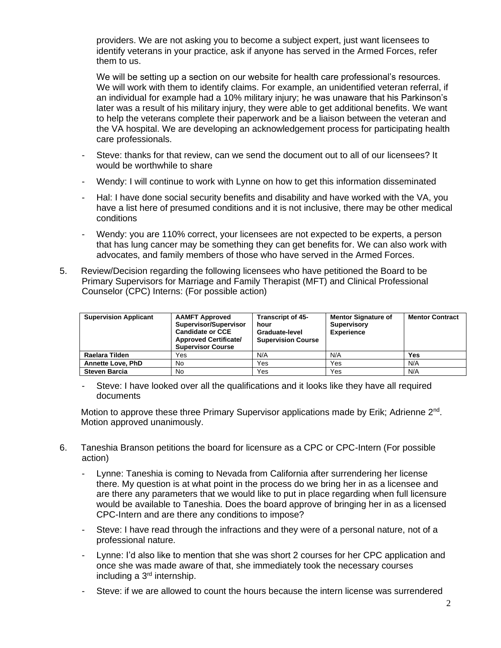providers. We are not asking you to become a subject expert, just want licensees to identify veterans in your practice, ask if anyone has served in the Armed Forces, refer them to us.

We will be setting up a section on our website for health care professional's resources. We will work with them to identify claims. For example, an unidentified veteran referral, if an individual for example had a 10% military injury; he was unaware that his Parkinson's later was a result of his military injury, they were able to get additional benefits. We want to help the veterans complete their paperwork and be a liaison between the veteran and the VA hospital. We are developing an acknowledgement process for participating health care professionals.

- Steve: thanks for that review, can we send the document out to all of our licensees? It would be worthwhile to share
- Wendy: I will continue to work with Lynne on how to get this information disseminated
- Hal: I have done social security benefits and disability and have worked with the VA, you have a list here of presumed conditions and it is not inclusive, there may be other medical conditions
- Wendy: you are 110% correct, your licensees are not expected to be experts, a person that has lung cancer may be something they can get benefits for. We can also work with advocates, and family members of those who have served in the Armed Forces.
- 5. Review/Decision regarding the following licensees who have petitioned the Board to be Primary Supervisors for Marriage and Family Therapist (MFT) and Clinical Professional Counselor (CPC) Interns: (For possible action)

| <b>Supervision Applicant</b> | <b>AAMFT Approved</b><br>Supervisor/Supervisor<br><b>Candidate or CCE</b><br><b>Approved Certificate/</b><br><b>Supervisor Course</b> | <b>Transcript of 45-</b><br>hour<br>Graduate-level<br><b>Supervision Course</b> | <b>Mentor Signature of</b><br>Supervisory<br><b>Experience</b> | <b>Mentor Contract</b> |
|------------------------------|---------------------------------------------------------------------------------------------------------------------------------------|---------------------------------------------------------------------------------|----------------------------------------------------------------|------------------------|
| Raelara Tilden               | Yes                                                                                                                                   | N/A                                                                             | N/A                                                            | Yes                    |
| <b>Annette Love, PhD</b>     | No                                                                                                                                    | Yes                                                                             | Yes                                                            | N/A                    |
| <b>Steven Barcia</b>         | No                                                                                                                                    | Yes                                                                             | Yes                                                            | N/A                    |

- Steve: I have looked over all the qualifications and it looks like they have all required documents

Motion to approve these three Primary Supervisor applications made by Erik; Adrienne 2<sup>nd</sup>. Motion approved unanimously.

- 6. Taneshia Branson petitions the board for licensure as a CPC or CPC-Intern (For possible action)
	- Lynne: Taneshia is coming to Nevada from California after surrendering her license there. My question is at what point in the process do we bring her in as a licensee and are there any parameters that we would like to put in place regarding when full licensure would be available to Taneshia. Does the board approve of bringing her in as a licensed CPC-Intern and are there any conditions to impose?
	- Steve: I have read through the infractions and they were of a personal nature, not of a professional nature.
	- Lynne: I'd also like to mention that she was short 2 courses for her CPC application and once she was made aware of that, she immediately took the necessary courses including a 3rd internship.
	- Steve: if we are allowed to count the hours because the intern license was surrendered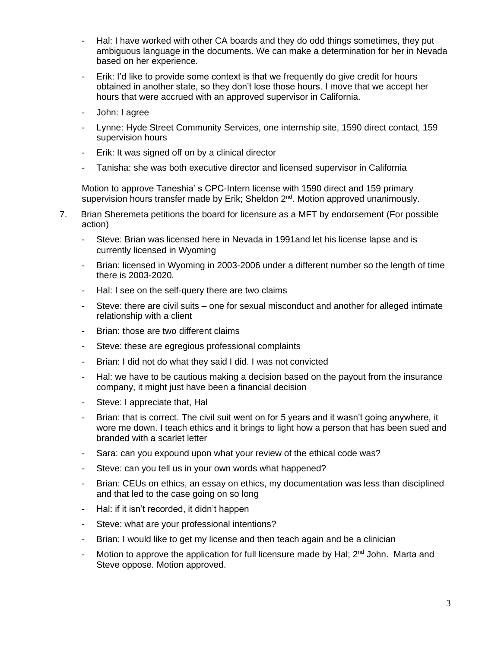- Hal: I have worked with other CA boards and they do odd things sometimes, they put ambiguous language in the documents. We can make a determination for her in Nevada based on her experience.
- Erik: I'd like to provide some context is that we frequently do give credit for hours obtained in another state, so they don't lose those hours. I move that we accept her hours that were accrued with an approved supervisor in California.
- John: I agree
- Lynne: Hyde Street Community Services, one internship site, 1590 direct contact, 159 supervision hours
- Erik: It was signed off on by a clinical director
- Tanisha: she was both executive director and licensed supervisor in California

Motion to approve Taneshia' s CPC-Intern license with 1590 direct and 159 primary supervision hours transfer made by Erik; Sheldon 2<sup>nd</sup>. Motion approved unanimously.

- 7. Brian Sheremeta petitions the board for licensure as a MFT by endorsement (For possible action)
	- Steve: Brian was licensed here in Nevada in 1991and let his license lapse and is currently licensed in Wyoming
	- Brian: licensed in Wyoming in 2003-2006 under a different number so the length of time there is 2003-2020.
	- Hal: I see on the self-query there are two claims
	- Steve: there are civil suits one for sexual misconduct and another for alleged intimate relationship with a client
	- Brian: those are two different claims
	- Steve: these are egregious professional complaints
	- Brian: I did not do what they said I did. I was not convicted
	- Hal: we have to be cautious making a decision based on the payout from the insurance company, it might just have been a financial decision
	- Steve: I appreciate that, Hal
	- Brian: that is correct. The civil suit went on for 5 years and it wasn't going anywhere, it wore me down. I teach ethics and it brings to light how a person that has been sued and branded with a scarlet letter
	- Sara: can you expound upon what your review of the ethical code was?
	- Steve: can you tell us in your own words what happened?
	- Brian: CEUs on ethics, an essay on ethics, my documentation was less than disciplined and that led to the case going on so long
	- Hal: if it isn't recorded, it didn't happen
	- Steve: what are your professional intentions?
	- Brian: I would like to get my license and then teach again and be a clinician
	- Motion to approve the application for full licensure made by Hal;  $2<sup>nd</sup>$  John. Marta and Steve oppose. Motion approved.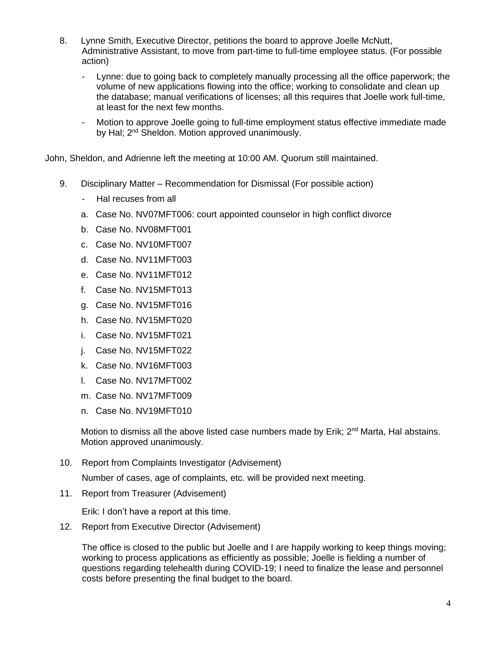- 8. Lynne Smith, Executive Director, petitions the board to approve Joelle McNutt, Administrative Assistant, to move from part-time to full-time employee status. (For possible action)
	- Lynne: due to going back to completely manually processing all the office paperwork; the volume of new applications flowing into the office; working to consolidate and clean up the database; manual verifications of licenses; all this requires that Joelle work full-time, at least for the next few months.
	- Motion to approve Joelle going to full-time employment status effective immediate made by Hal; 2<sup>nd</sup> Sheldon. Motion approved unanimously.

John, Sheldon, and Adrienne left the meeting at 10:00 AM. Quorum still maintained.

- 9. Disciplinary Matter Recommendation for Dismissal (For possible action)
	- Hal recuses from all
	- a. Case No. NV07MFT006: court appointed counselor in high conflict divorce
	- b. Case No. NV08MFT001
	- c. Case No. NV10MFT007
	- d. Case No. NV11MFT003
	- e. Case No. NV11MFT012
	- f. Case No. NV15MFT013
	- g. Case No. NV15MFT016
	- h. Case No. NV15MFT020
	- i. Case No. NV15MFT021
	- j. Case No. NV15MFT022
	- k. Case No. NV16MFT003
	- l. Case No. NV17MFT002
	- m. Case No. NV17MFT009
	- n. Case No. NV19MFT010

Motion to dismiss all the above listed case numbers made by Erik; 2<sup>nd</sup> Marta, Hal abstains. Motion approved unanimously.

10. Report from Complaints Investigator (Advisement)

Number of cases, age of complaints, etc. will be provided next meeting.

11. Report from Treasurer (Advisement)

Erik: I don't have a report at this time.

12. Report from Executive Director (Advisement)

The office is closed to the public but Joelle and I are happily working to keep things moving; working to process applications as efficiently as possible; Joelle is fielding a number of questions regarding telehealth during COVID-19; I need to finalize the lease and personnel costs before presenting the final budget to the board.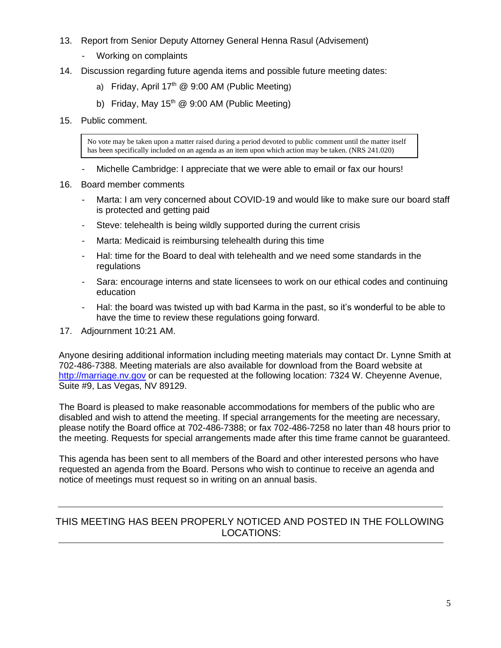- 13. Report from Senior Deputy Attorney General Henna Rasul (Advisement)
	- Working on complaints
- 14. Discussion regarding future agenda items and possible future meeting dates:
	- a) Friday, April  $17<sup>th</sup>$  @ 9:00 AM (Public Meeting)
	- b) Friday, May  $15<sup>th</sup>$  @ 9:00 AM (Public Meeting)
- 15. Public comment.

No vote may be taken upon a matter raised during a period devoted to public comment until the matter itself has been specifically included on an agenda as an item upon which action may be taken. (NRS 241.020)

- Michelle Cambridge: I appreciate that we were able to email or fax our hours!
- 16. Board member comments
	- Marta: I am very concerned about COVID-19 and would like to make sure our board staff is protected and getting paid
	- Steve: telehealth is being wildly supported during the current crisis
	- Marta: Medicaid is reimbursing telehealth during this time
	- Hal: time for the Board to deal with telehealth and we need some standards in the regulations
	- Sara: encourage interns and state licensees to work on our ethical codes and continuing education
	- Hal: the board was twisted up with bad Karma in the past, so it's wonderful to be able to have the time to review these regulations going forward.
- 17. Adjournment 10:21 AM.

Anyone desiring additional information including meeting materials may contact Dr. Lynne Smith at 702-486-7388. Meeting materials are also available for download from the Board website at [http://marriage.nv.gov](http://marriage.nv.gov/) or can be requested at the following location: 7324 W. Cheyenne Avenue, Suite #9, Las Vegas, NV 89129.

The Board is pleased to make reasonable accommodations for members of the public who are disabled and wish to attend the meeting. If special arrangements for the meeting are necessary, please notify the Board office at 702-486-7388; or fax 702-486-7258 no later than 48 hours prior to the meeting. Requests for special arrangements made after this time frame cannot be guaranteed.

This agenda has been sent to all members of the Board and other interested persons who have requested an agenda from the Board. Persons who wish to continue to receive an agenda and notice of meetings must request so in writing on an annual basis.

# THIS MEETING HAS BEEN PROPERLY NOTICED AND POSTED IN THE FOLLOWING LOCATIONS: